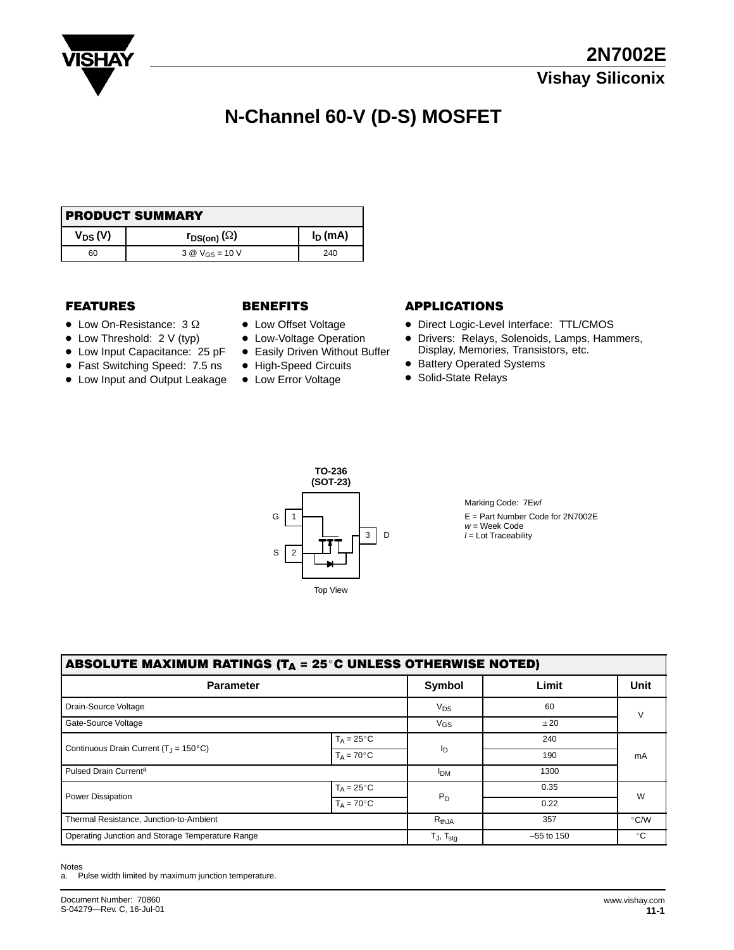

# **N-Channel 60-V (D-S) MOSFET**

| <b>PRODUCT SUMMARY</b> |                               |            |  |  |  |  |
|------------------------|-------------------------------|------------|--|--|--|--|
| $V_{DS}(V)$            | $r_{DS(on)}(\Omega)$          | $I_D$ (mA) |  |  |  |  |
| 60                     | 3 $\&$ V <sub>GS</sub> = 10 V | 240        |  |  |  |  |

#### **FEATURES**

- $\bullet$  Low On-Resistance: 3  $\Omega$
- Low Threshold: 2 V (typ)
- Low Input Capacitance: 25 pF
- Fast Switching Speed: 7.5 ns
- Low Input and Output Leakage

- Low Offset Voltage
- Low-Voltage Operation
- **Easily Driven Without Buffer**
- High-Speed Circuits • Low Error Voltage

#### BENEFITS APPLICATIONS

- Direct Logic-Level Interface: TTL/CMOS
- Drivers: Relays, Solenoids, Lamps, Hammers, Display, Memories, Transistors, etc.
- Battery Operated Systems
- Solid-State Relays



Marking Code: 7Ewl E = Part Number Code for 2N7002E  $w =$  Week Code  $l =$  Lot Traceability

| ABSOLUTE MAXIMUM RATINGS (T $_{\Delta}$ = 25°C UNLESS OTHERWISE NOTED) |                      |                          |              |               |  |  |  |  |  |  |
|------------------------------------------------------------------------|----------------------|--------------------------|--------------|---------------|--|--|--|--|--|--|
| <b>Parameter</b>                                                       |                      | Symbol                   | Limit        | <b>Unit</b>   |  |  |  |  |  |  |
| Drain-Source Voltage                                                   |                      | $V_{DS}$                 | 60           | $\vee$        |  |  |  |  |  |  |
| Gate-Source Voltage                                                    |                      | $V_{GS}$                 | ±20          |               |  |  |  |  |  |  |
| Continuous Drain Current ( $T_{\text{J}} = 150^{\circ} \text{C}$ )     | $T_A = 25^{\circ}C$  |                          | 240          | mA            |  |  |  |  |  |  |
|                                                                        | $T_A = 70^{\circ}$ C | Iр                       | 190          |               |  |  |  |  |  |  |
| Pulsed Drain Current <sup>a</sup>                                      |                      | <b>IDM</b>               | 1300         |               |  |  |  |  |  |  |
| <b>Power Dissipation</b>                                               | $T_A = 25^{\circ}C$  |                          | 0.35         | W             |  |  |  |  |  |  |
|                                                                        | $T_A = 70^{\circ}$ C | $P_D$                    | 0.22         |               |  |  |  |  |  |  |
| Thermal Resistance, Junction-to-Ambient                                |                      | $R_{thJA}$               | 357          | $\degree$ C/W |  |  |  |  |  |  |
| Operating Junction and Storage Temperature Range                       |                      | $T_J$ , $T_{\text{stg}}$ | $-55$ to 150 | $^{\circ}$ C  |  |  |  |  |  |  |

Notes a. Pulse width limited by maximum junction temperature.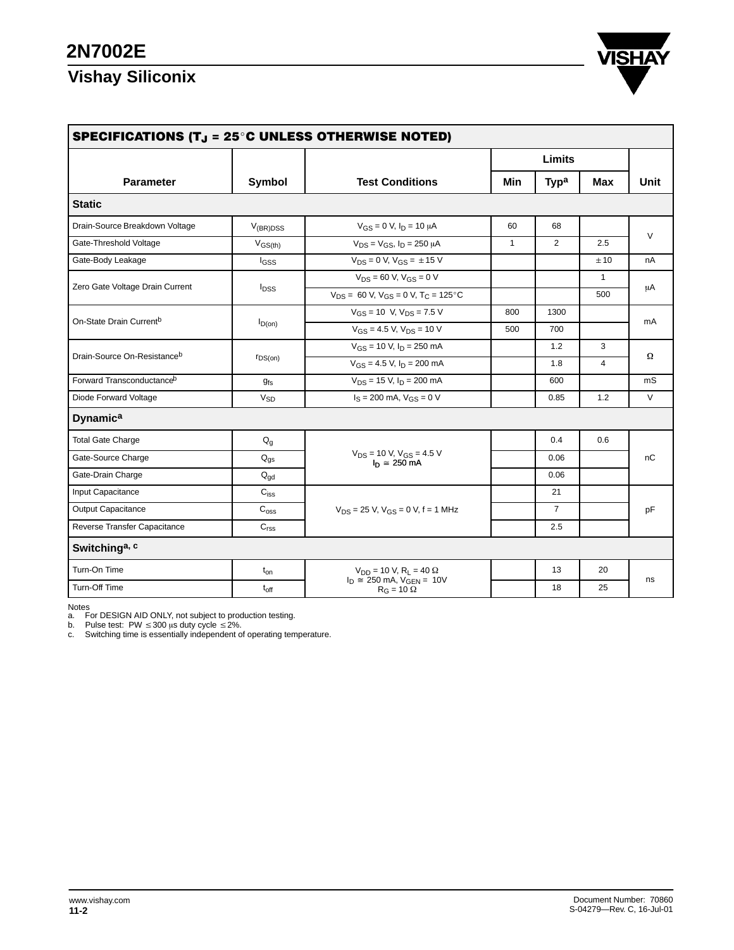## **2N7002E**

# **Vishay Siliconix**



| SPECIFICATIONS (T $_{\rm J}$ = 25 $^{\circ}$ C UNLESS OTHERWISE NOTED) |                                    |                                                                                      |              |                  |                |        |  |  |  |
|------------------------------------------------------------------------|------------------------------------|--------------------------------------------------------------------------------------|--------------|------------------|----------------|--------|--|--|--|
|                                                                        |                                    |                                                                                      | Limits       |                  |                |        |  |  |  |
| <b>Parameter</b>                                                       | Symbol                             | <b>Test Conditions</b>                                                               | Min          | Typ <sup>a</sup> | Max            | Unit   |  |  |  |
| <b>Static</b>                                                          |                                    |                                                                                      |              |                  |                |        |  |  |  |
| Drain-Source Breakdown Voltage                                         | $V_{(BR)DSS}$                      | $V_{GS} = 0$ V, $I_D = 10 \mu A$                                                     | 60           | 68               |                | $\vee$ |  |  |  |
| Gate-Threshold Voltage                                                 | $V$ <sub>GS<math>(th)</math></sub> | $V_{DS} = V_{GS}$ , $I_D = 250 \mu A$                                                | $\mathbf{1}$ | 2                | 2.5            |        |  |  |  |
| Gate-Body Leakage                                                      | $I_{GSS}$                          | $V_{DS} = 0$ V, $V_{GS} = \pm 15$ V                                                  |              |                  | ±10            | nA     |  |  |  |
|                                                                        |                                    | $V_{DS}$ = 60 V, $V_{GS}$ = 0 V                                                      |              |                  | $\mathbf{1}$   | μA     |  |  |  |
| Zero Gate Voltage Drain Current                                        | <b>I</b> <sub>DSS</sub>            | $V_{DS}$ = 60 V, V <sub>GS</sub> = 0 V, T <sub>C</sub> = 125 °C                      |              |                  | 500            |        |  |  |  |
|                                                                        | $I_{D(on)}$                        | $V_{GS}$ = 10 V, $V_{DS}$ = 7.5 V                                                    | 800          | 1300             |                | mA     |  |  |  |
| On-State Drain Current <sup>b</sup>                                    |                                    | $V_{GS}$ = 4.5 V, $V_{DS}$ = 10 V                                                    | 500          | 700              |                |        |  |  |  |
|                                                                        | $r_{DS(on)}$                       | $V_{GS}$ = 10 V, $I_D$ = 250 mA                                                      |              | 1.2              | 3              | Ω      |  |  |  |
| Drain-Source On-Resistanceb                                            |                                    | $V_{GS}$ = 4.5 V, $I_D$ = 200 mA                                                     |              | 1.8              | $\overline{4}$ |        |  |  |  |
| Forward Transconductance <sup>b</sup>                                  | $g_{fs}$                           | $V_{DS}$ = 15 V, $I_D$ = 200 mA                                                      |              | 600              |                | mS     |  |  |  |
| Diode Forward Voltage                                                  | $V_{SD}$                           | $I_S = 200$ mA, $V_{GS} = 0$ V                                                       |              | 0.85             | 1.2            | $\vee$ |  |  |  |
| <b>Dynamica</b>                                                        |                                    |                                                                                      |              |                  |                |        |  |  |  |
| <b>Total Gate Charge</b>                                               | $\mathsf{Q}_{\mathsf{g}}$          |                                                                                      |              | 0.4              | 0.6            | nC     |  |  |  |
| Gate-Source Charge                                                     | $Q_{gs}$                           | $V_{DS}$ = 10 V, $V_{GS}$ = 4.5 V<br>$I_n \cong 250$ mA                              |              | 0.06             |                |        |  |  |  |
| Gate-Drain Charge                                                      | $Q_{\text{qd}}$                    |                                                                                      |              | 0.06             |                |        |  |  |  |
| Input Capacitance                                                      | $\mathrm{C_{iss}}$                 |                                                                                      |              | 21               |                | pF     |  |  |  |
| <b>Output Capacitance</b>                                              | $C_{\text{oss}}$                   | $V_{DS}$ = 25 V, $V_{GS}$ = 0 V, f = 1 MHz                                           |              | $\overline{7}$   |                |        |  |  |  |
| Reverse Transfer Capacitance                                           | C <sub>rss</sub>                   |                                                                                      |              | 2.5              |                |        |  |  |  |
| Switching <sup>a, c</sup>                                              |                                    |                                                                                      |              |                  |                |        |  |  |  |
| Turn-On Time                                                           | $t_{on}$                           | $V_{DD}$ = 10 V, R <sub>L</sub> = 40 $\Omega$<br>$I_D \cong 250$ mA, $V_{GEN} = 10V$ |              | 13               | 20             | ns     |  |  |  |
| Turn-Off Time                                                          | $t_{\rm off}$                      | $R_G = 10 \Omega$                                                                    |              | 18               | 25             |        |  |  |  |

Notes<br>a. For DESIGN AID ONLY, not subject to production testing.<br>b. Pulse test: PW ≤ 300 μs duty cycle ≤ 2%.<br>c. Switching time is essentially independent of operating temperature.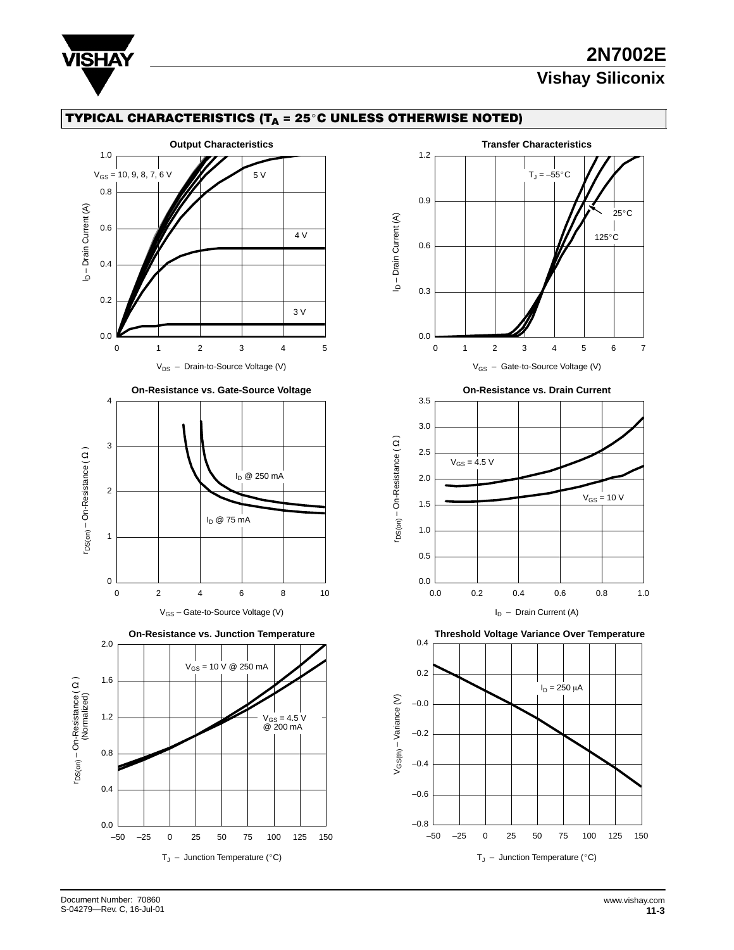

### **2N7002E Vishay Siliconix**

#### TYPICAL CHARACTERISTICS (T $_{\mathsf{A}}$  = 25°C UNLESS OTHERWISE NOTED)